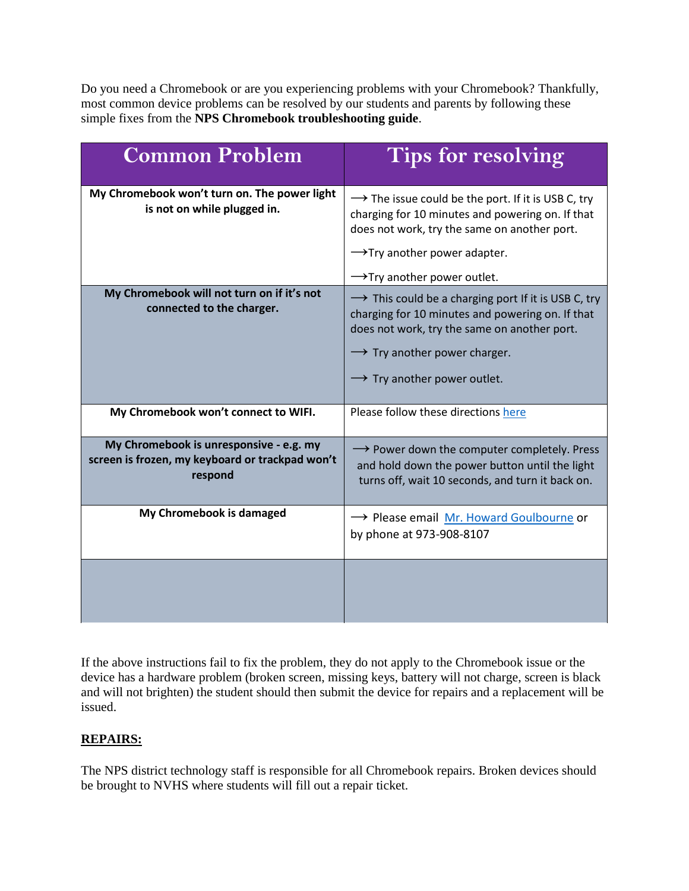Do you need a Chromebook or are you experiencing problems with your Chromebook? Thankfully, most common device problems can be resolved by our students and parents by following these simple fixes from the **NPS Chromebook [troubleshooting guide](https://uzfse3ppbbd3d7mvu3tke69f-wpengine.netdna-ssl.com/wp-content/uploads/sites/18/2021/10/Chromebook-Troubleshooting-Guide.pdf)**.

| <b>Common Problem</b>                                                                                 | <b>Tips for resolving</b>                                                                                                                                                                                                                                  |
|-------------------------------------------------------------------------------------------------------|------------------------------------------------------------------------------------------------------------------------------------------------------------------------------------------------------------------------------------------------------------|
| My Chromebook won't turn on. The power light<br>is not on while plugged in.                           | $\rightarrow$ The issue could be the port. If it is USB C, try<br>charging for 10 minutes and powering on. If that<br>does not work, try the same on another port.<br>$\rightarrow$ Try another power adapter.                                             |
|                                                                                                       | $\rightarrow$ Try another power outlet.                                                                                                                                                                                                                    |
| My Chromebook will not turn on if it's not<br>connected to the charger.                               | $\rightarrow$ This could be a charging port If it is USB C, try<br>charging for 10 minutes and powering on. If that<br>does not work, try the same on another port.<br>$\rightarrow$ Try another power charger.<br>$\rightarrow$ Try another power outlet. |
| My Chromebook won't connect to WIFI.                                                                  | Please follow these directions here                                                                                                                                                                                                                        |
| My Chromebook is unresponsive - e.g. my<br>screen is frozen, my keyboard or trackpad won't<br>respond | $\rightarrow$ Power down the computer completely. Press<br>and hold down the power button until the light<br>turns off, wait 10 seconds, and turn it back on.                                                                                              |
| My Chromebook is damaged                                                                              | → Please email Mr. Howard Goulbourne or<br>by phone at 973-908-8107                                                                                                                                                                                        |
|                                                                                                       |                                                                                                                                                                                                                                                            |

If the above instructions fail to fix the problem, they do not apply to the Chromebook issue or the device has a hardware problem (broken screen, missing keys, battery will not charge, screen is black and will not brighten) the student should then submit the device for repairs and a replacement will be issued.

## **REPAIRS:**

The NPS district technology staff is responsible for all Chromebook repairs. Broken devices should be brought to NVHS where students will fill out a repair ticket.